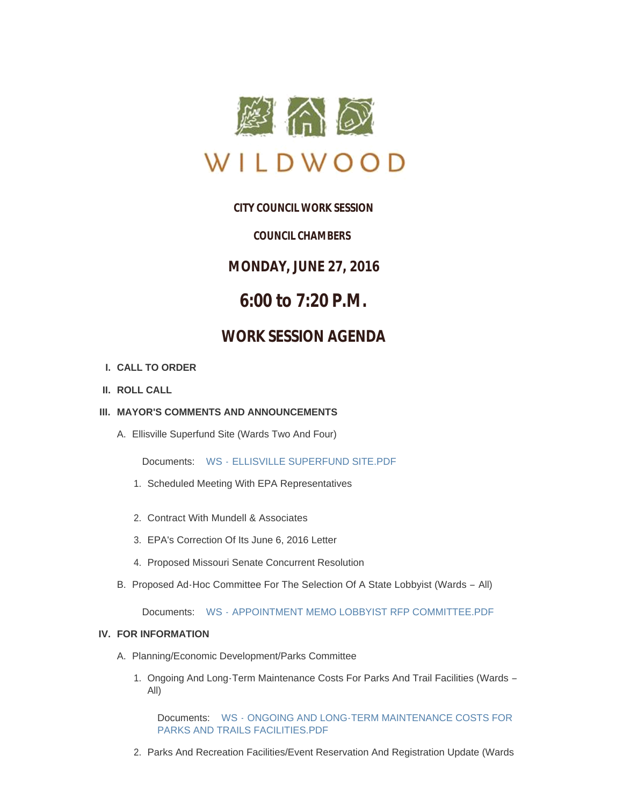

## **CITY COUNCIL WORK SESSION**

### *COUNCIL CHAMBERS*

**MONDAY, JUNE 27, 2016**

# **6:00 to 7:20 P.M.**

## **WORK SESSION AGENDA**

#### **CALL TO ORDER I.**

**ROLL CALL II.**

#### **MAYOR'S COMMENTS AND ANNOUNCEMENTS III.**

Ellisville Superfund Site (Wards Two And Four) A.

Documents: WS - [ELLISVILLE SUPERFUND SITE.PDF](http://cityofwildwood.com/AgendaCenter/ViewFile/Item/7349?fileID=11068)

- 1. Scheduled Meeting With EPA Representatives
- 2. Contract With Mundell & Associates
- EPA's Correction Of Its June 6, 2016 Letter 3.
- 4. Proposed Missouri Senate Concurrent Resolution
- B. Proposed Ad-Hoc Committee For The Selection Of A State Lobbyist (Wards All)

Documents: WS - [APPOINTMENT MEMO LOBBYIST RFP COMMITTEE.PDF](http://cityofwildwood.com/AgendaCenter/ViewFile/Item/7354?fileID=11107)

#### **FOR INFORMATION IV.**

- A. Planning/Economic Development/Parks Committee
	- 1. Ongoing And Long-Term Maintenance Costs For Parks And Trail Facilities (Wards -All)

Documents: WS - ONGOING AND LONG-TERM MAINTENANCE COSTS FOR PARKS AND TRAILS FACILITIES.PDF

2. Parks And Recreation Facilities/Event Reservation And Registration Update (Wards